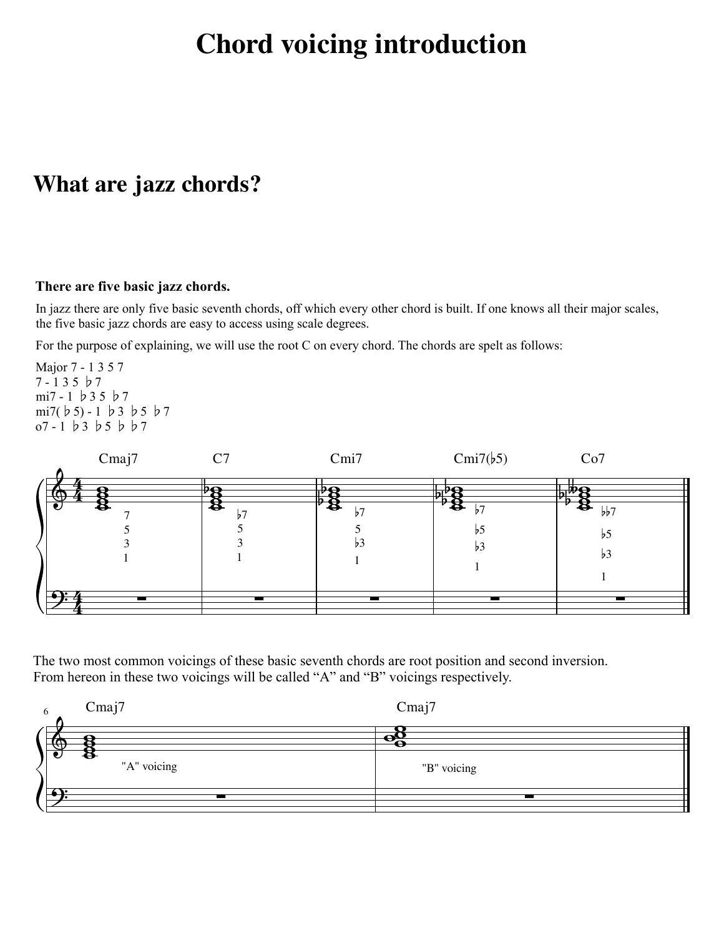# **Chord voicing introduction**

### **What are jazz chords?**

#### **There are five basic jazz chords.**

In jazz there are only five basic seventh chords, off which every other chord is built. If one knows all their major scales, the five basic jazz chords are easy to access using scale degrees.

For the purpose of explaining, we will use the root C on every chord. The chords are spelt as follows:

Major 7 - 1 3 5 7 7 - 1 3 5 ♭7 mi7 - 1 ♭3 5 ♭7 mi7(♭5) - 1 ♭3 ♭5 ♭7 o7 - 1 ♭3 ♭5 ♭♭7



The two most common voicings of these basic seventh chords are root position and second inversion. From hereon in these two voicings will be called "A" and "B" voicings respectively.

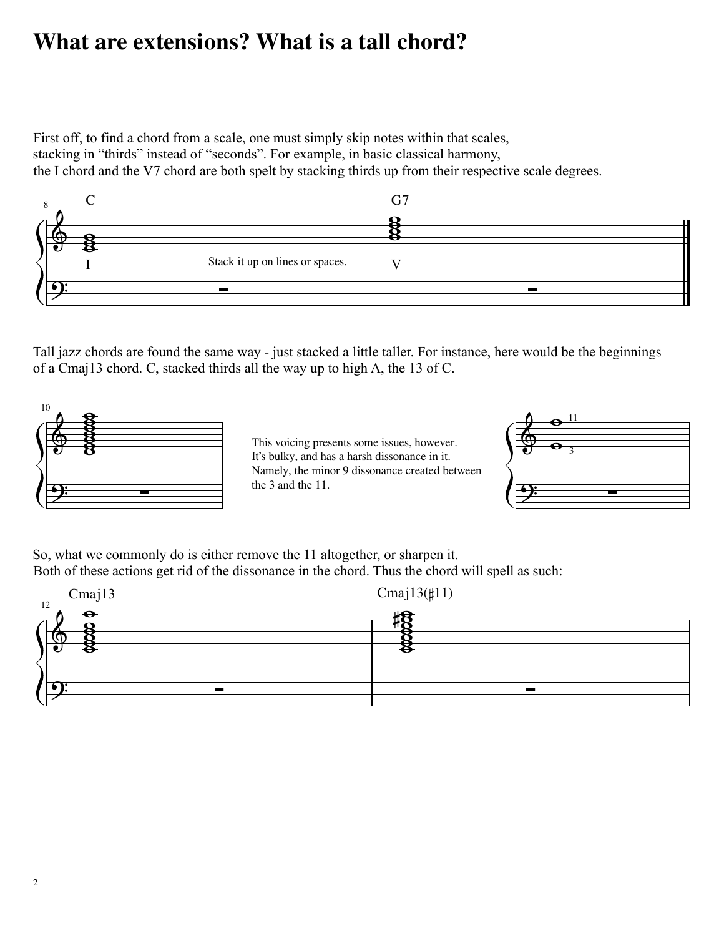## **What are extensions? What is a tall chord?**

First off, to find a chord from a scale, one must simply skip notes within that scales, stacking in "thirds" instead of "seconds". For example, in basic classical harmony, the I chord and the V7 chord are both spelt by stacking thirds up from their respective scale degrees.



Tall jazz chords are found the same way - just stacked a little taller. For instance, here would be the beginnings of a Cmaj13 chord. C, stacked thirds all the way up to high A, the 13 of C.



This voicing presents some issues, however. It's bulky, and has a harsh dissonance in it. Namely, the minor 9 dissonance created between the 3 and the 11.



So, what we commonly do is either remove the 11 altogether, or sharpen it. Both of these actions get rid of the dissonance in the chord. Thus the chord will spell as such:

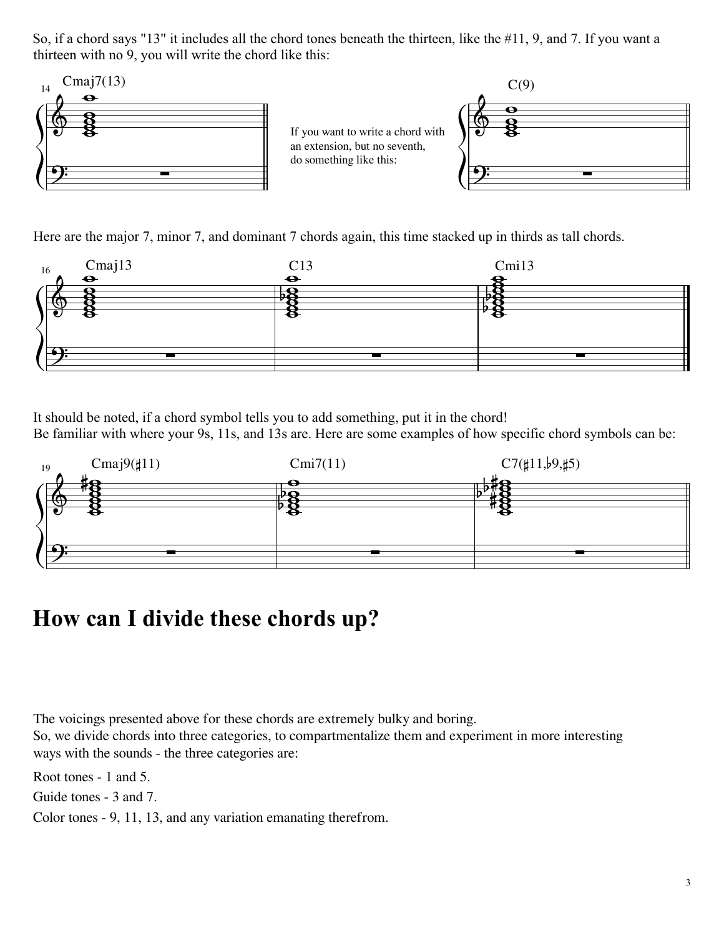So, if a chord says "13" it includes all the chord tones beneath the thirteen, like the #11, 9, and 7. If you want a thirteen with no 9, you will write the chord like this:



Here are the major 7, minor 7, and dominant 7 chords again, this time stacked up in thirds as tall chords.



It should be noted, if a chord symbol tells you to add something, put it in the chord! Be familiar with where your 9s, 11s, and 13s are. Here are some examples of how specific chord symbols can be:



## **How can I divide these chords up?**

The voicings presented above for these chords are extremely bulky and boring. So, we divide chords into three categories, to compartmentalize them and experiment in more interesting ways with the sounds - the three categories are:

Root tones - 1 and 5.

Guide tones - 3 and 7.

Color tones - 9, 11, 13, and any variation emanating therefrom.